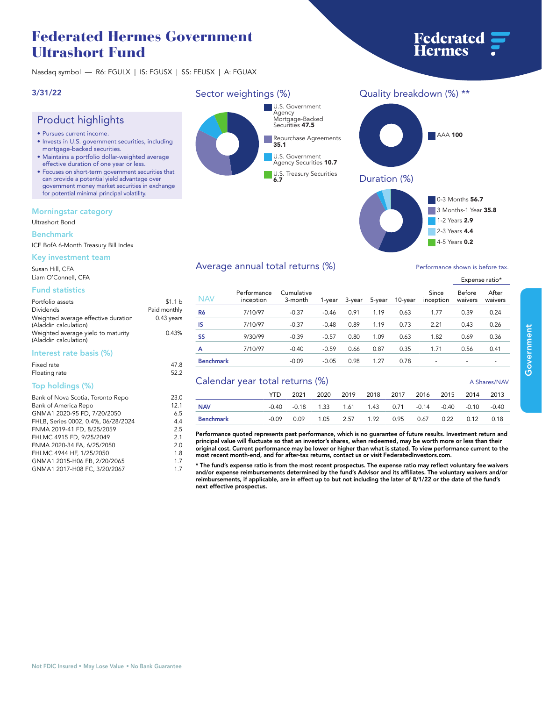# **Federated Hermes Government Ultrashort Fund**

**Nasdaq symbol — R6: FGULX | IS: FGUSX | SS: FEUSX | A: FGUAX**

# **3/31/22**

# **Product highlights**

- **• Pursues current income.**
- **• Invests in U.S. government securities, including mortgage-backed securities.**
- **• Maintains a portfolio dollar-weighted average effective duration of one year or less.**
- **• Focuses on short-term government securities that can provide a potential yield advantage over government money market securities in exchange for potential minimal principal volatility.**

## **Morningstar category**

#### **Ultrashort Bond**

### **Benchmark**

**ICE BofA 6-Month Treasury Bill Index**

# **Key investment team**

**Susan Hill, CFA Liam O'Connell, CFA**

# **Fund statistics**

| Portfolio assets<br>Dividends<br>Weighted average effective duration<br>(Aladdin calculation)<br>Weighted average yield to maturity<br>(Aladdin calculation) | \$1.1 <sub>b</sub><br>Paid monthly<br>$0.43$ years<br>0.43% |
|--------------------------------------------------------------------------------------------------------------------------------------------------------------|-------------------------------------------------------------|
| Interest rate basis (%)                                                                                                                                      |                                                             |

#### **Fixed rate 47.8 Floating rate 52.2**

# **Top holdings (%)**

| Bank of Nova Scotia, Toronto Repo   | 23.0 |
|-------------------------------------|------|
| Bank of America Repo                | 12.1 |
| GNMA1 2020-95 FD, 7/20/2050         | 6.5  |
| FHLB, Series 0002, 0.4%, 06/28/2024 | 4.4  |
| FNMA 2019-41 FD, 8/25/2059          | 2.5  |
| FHLMC 4915 FD, 9/25/2049            | 2.1  |
| FNMA 2020-34 FA, 6/25/2050          | 2.0  |
| FHLMC 4944 HF, 1/25/2050            | 1.8  |
| GNMA1 2015-H06 FB, 2/20/2065        | 1.7  |
| GNMA1 2017-H08 FC, 3/20/2067        | 17   |



**6.7**

#### **NAV Performance inception Cumulative 3-month 1-year 3-year 5-year 10-year inception waivers waivers R6 7/10/97 -0.37 -0.46 0.91 1.19 0.63 1.77 0.39 0.24 IS 7/10/97 -0.37 -0.48 0.89 1.19 0.73 2.21 0.43 0.26 SS 9/30/99 -0.39 -0.57 0.80 1.09 0.63 1.82 0.69 0.36 A 7/10/97 -0.40 -0.59 0.66 0.87 0.35 1.71 0.56 0.41 Benchmark -0.09 -0.05 0.98 1.27 0.78 - - - Calendar year total returns (%) A Shares/NAV A Shares/NAV YTD 2021 2020 2019 2018 2017 2016 2015 2014 2013**

**NAV -0.40 -0.18 1.33 1.61 1.43 0.71 -0.14 -0.40 -0.10 -0.40 Benchmark -0.09 0.09 1.05 2.57 1.92 0.95 0.67 0.22 0.12 0.18 Performance quoted represents past performance, which is no guarantee of future results. Investment return and** 

**principal value will fluctuate so that an investor's shares, when redeemed, may be worth more or less than their original cost. Current performance may be lower or higher than what is stated. To view performance current to the most recent month-end, and for after-tax returns, contact us or visit [FederatedInvestors.com.](www.federatedinvestors.com)**

**\* The fund's expense ratio is from the most recent prospectus. The expense ratio may reflect voluntary fee waivers and/or expense reimbursements determined by the fund's Advisor and its affiliates. The voluntary waivers and/or reimbursements, if applicable, are in effect up to but not including the later of 8/1/22 or the date of the fund's next effective prospectus.**



**Federated**<br>Hermes



# **Average annual total returns (%) Performance show in the shown is a performance shown in the shown is before the shown in the shown is a shown in the shown is a shown in the shown in the shown is a shown in the shown in**

|                          | 4-5 Years 0.2                |  |
|--------------------------|------------------------------|--|
|                          | ormance shown is before tax. |  |
| Expense ratio*           |                              |  |
| Since<br>$- - - + - - -$ | Before After                 |  |